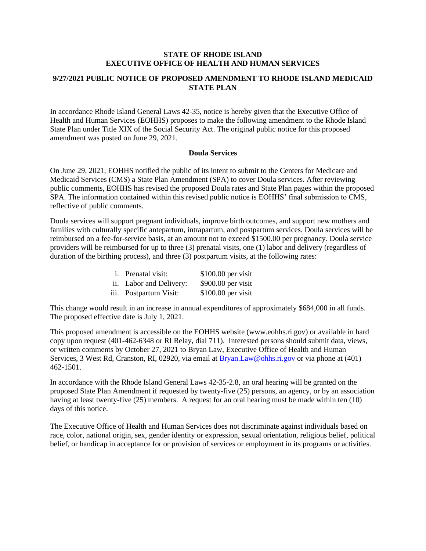#### **STATE OF RHODE ISLAND EXECUTIVE OFFICE OF HEALTH AND HUMAN SERVICES**

#### **9/27/2021 PUBLIC NOTICE OF PROPOSED AMENDMENT TO RHODE ISLAND MEDICAID STATE PLAN**

In accordance Rhode Island General Laws 42-35, notice is hereby given that the Executive Office of Health and Human Services (EOHHS) proposes to make the following amendment to the Rhode Island State Plan under Title XIX of the Social Security Act. The original public notice for this proposed amendment was posted on June 29, 2021.

#### **Doula Services**

On June 29, 2021, EOHHS notified the public of its intent to submit to the Centers for Medicare and Medicaid Services (CMS) a State Plan Amendment (SPA) to cover Doula services. After reviewing public comments, EOHHS has revised the proposed Doula rates and State Plan pages within the proposed SPA. The information contained within this revised public notice is EOHHS' final submission to CMS, reflective of public comments.

Doula services will support pregnant individuals, improve birth outcomes, and support new mothers and families with culturally specific antepartum, intrapartum, and postpartum services. Doula services will be reimbursed on a fee-for-service basis, at an amount not to exceed \$1500.00 per pregnancy. Doula service providers will be reimbursed for up to three (3) prenatal visits, one (1) labor and delivery (regardless of duration of the birthing process), and three (3) postpartum visits, at the following rates:

| <i>i</i> . Prenatal visit: | $$100.00$ per visit |
|----------------------------|---------------------|
| ii. Labor and Delivery:    | $$900.00$ per visit |
| iii. Postpartum Visit:     | $$100.00$ per visit |

This change would result in an increase in annual expenditures of approximately \$684,000 in all funds. The proposed effective date is July 1, 2021.

This proposed amendment is accessible on the EOHHS website (www.eohhs.ri.gov) or available in hard copy upon request (401-462-6348 or RI Relay, dial 711). Interested persons should submit data, views, or written comments by October 27, 2021 to Bryan Law, Executive Office of Health and Human Services, 3 West Rd, Cranston, RI, 02920, via email at [Bryan.Law@ohhs.ri.gov](mailto:Melody.Lawrence@ohhs.ri.gov) or via phone at (401) 462-1501.

In accordance with the Rhode Island General Laws 42-35-2.8, an oral hearing will be granted on the proposed State Plan Amendment if requested by twenty-five (25) persons, an agency, or by an association having at least twenty-five (25) members. A request for an oral hearing must be made within ten (10) days of this notice.

The Executive Office of Health and Human Services does not discriminate against individuals based on race, color, national origin, sex, gender identity or expression, sexual orientation, religious belief, political belief, or handicap in acceptance for or provision of services or employment in its programs or activities.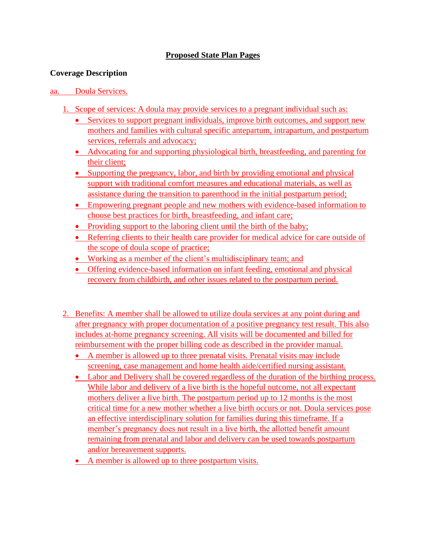# **Proposed State Plan Pages**

## **Coverage Description**

### aa. Doula Services.

- 1. Scope of services: A doula may provide services to a pregnant individual such as:
	- Services to support pregnant individuals, improve birth outcomes, and support new mothers and families with cultural specific antepartum, intrapartum, and postpartum services, referrals and advocacy;
	- Advocating for and supporting physiological birth, breastfeeding, and parenting for their client;
	- Supporting the pregnancy, labor, and birth by providing emotional and physical support with traditional comfort measures and educational materials, as well as assistance during the transition to parenthood in the initial postpartum period;
	- Empowering pregnant people and new mothers with evidence-based information to choose best practices for birth, breastfeeding, and infant care;
	- Providing support to the laboring client until the birth of the baby;
	- Referring clients to their health care provider for medical advice for care outside of the scope of doula scope of practice;
	- Working as a member of the client's multidisciplinary team; and
	- Offering evidence-based information on infant feeding, emotional and physical recovery from childbirth, and other issues related to the postpartum period.
- 2. Benefits: A member shall be allowed to utilize doula services at any point during and after pregnancy with proper documentation of a positive pregnancy test result. This also includes at-home pregnancy screening. All visits will be documented and billed for reimbursement with the proper billing code as described in the provider manual.
	- A member is allowed up to three prenatal visits. Prenatal visits may include screening, case management and home health aide/certified nursing assistant.
	- Labor and Delivery shall be covered regardless of the duration of the birthing process. While labor and delivery of a live birth is the hopeful outcome, not all expectant mothers deliver a live birth. The postpartum period up to 12 months is the most critical time for a new mother whether a live birth occurs or not. Doula services pose an effective interdisciplinary solution for families during this timeframe. If a member's pregnancy does not result in a live birth, the allotted benefit amount remaining from prenatal and labor and delivery can be used towards postpartum and/or bereavement supports.
	- A member is allowed up to three postpartum visits.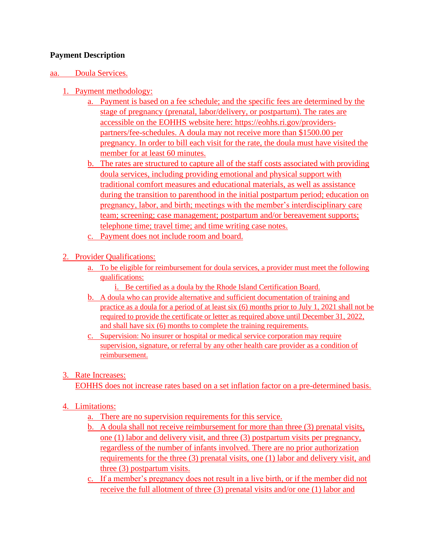## **Payment Description**

### aa. Doula Services.

- 1. Payment methodology:
	- a. Payment is based on a fee schedule; and the specific fees are determined by the stage of pregnancy (prenatal, labor/delivery, or postpartum). The rates are accessible on the EOHHS website here: [https://eohhs.ri.gov/providers](https://eohhs.ri.gov/providers-partners/fee-schedules)[partners/fee-schedules.](https://eohhs.ri.gov/providers-partners/fee-schedules) A doula may not receive more than \$1500.00 per pregnancy. In order to bill each visit for the rate, the doula must have visited the member for at least 60 minutes.
	- b. The rates are structured to capture all of the staff costs associated with providing doula services, including providing emotional and physical support with traditional comfort measures and educational materials, as well as assistance during the transition to parenthood in the initial postpartum period; education on pregnancy, labor, and birth; meetings with the member's interdisciplinary care team; screening; case management; postpartum and/or bereavement supports; telephone time; travel time; and time writing case notes.
	- c. Payment does not include room and board.
- 2. Provider Qualifications:
	- a. To be eligible for reimbursement for doula services, a provider must meet the following qualifications:
		- i. Be certified as a doula by the Rhode Island Certification Board.
	- b. A doula who can provide alternative and sufficient documentation of training and practice as a doula for a period of at least six (6) months prior to July 1, 2021 shall not be required to provide the certificate or letter as required above until December 31, 2022, and shall have six (6) months to complete the training requirements.
	- c. Supervision: No insurer or hospital or medical service corporation may require supervision, signature, or referral by any other health care provider as a condition of reimbursement.

# 3. Rate Increases:

EOHHS does not increase rates based on a set inflation factor on a pre-determined basis.

## 4. Limitations:

- a. There are no supervision requirements for this service.
- b. A doula shall not receive reimbursement for more than three (3) prenatal visits, one (1) labor and delivery visit, and three (3) postpartum visits per pregnancy, regardless of the number of infants involved. There are no prior authorization requirements for the three (3) prenatal visits, one (1) labor and delivery visit, and three (3) postpartum visits.
- c. If a member's pregnancy does not result in a live birth, or if the member did not receive the full allotment of three (3) prenatal visits and/or one (1) labor and